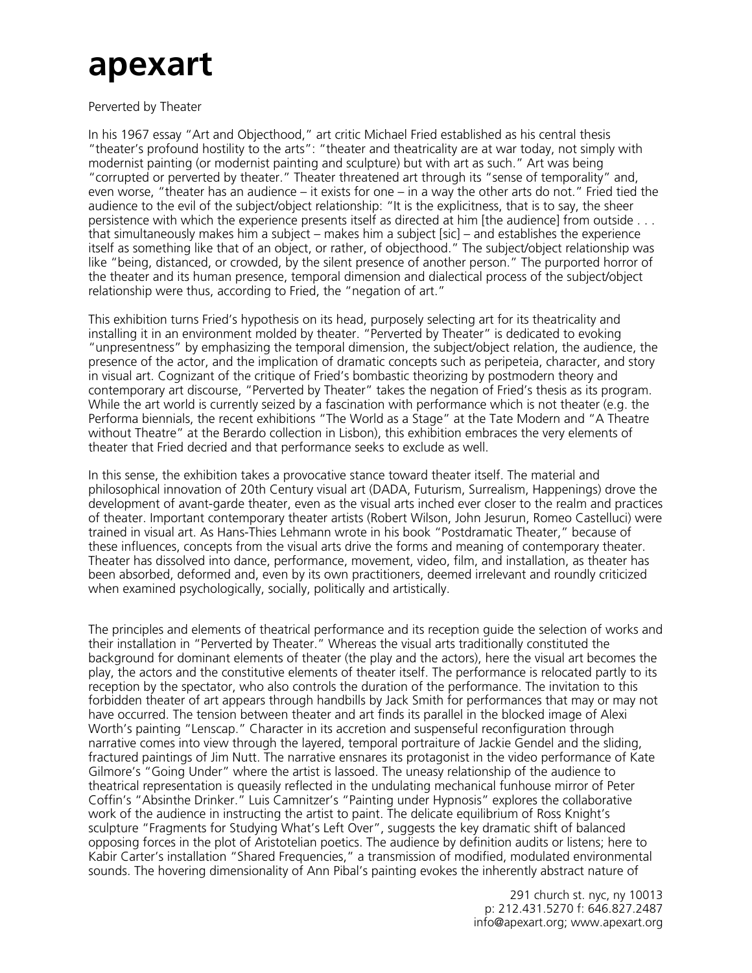## **apexart**

Perverted by Theater

In his 1967 essay "Art and Objecthood," art critic Michael Fried established as his central thesis "theater's profound hostility to the arts": "theater and theatricality are at war today, not simply with modernist painting (or modernist painting and sculpture) but with art as such." Art was being "corrupted or perverted by theater." Theater threatened art through its "sense of temporality" and, even worse, "theater has an audience – it exists for one – in a way the other arts do not." Fried tied the audience to the evil of the subject/object relationship: "It is the explicitness, that is to say, the sheer persistence with which the experience presents itself as directed at him [the audience] from outside . . . that simultaneously makes him a subject – makes him a subject [sic] – and establishes the experience itself as something like that of an object, or rather, of objecthood." The subject/object relationship was like "being, distanced, or crowded, by the silent presence of another person." The purported horror of the theater and its human presence, temporal dimension and dialectical process of the subject/object relationship were thus, according to Fried, the "negation of art."

This exhibition turns Fried's hypothesis on its head, purposely selecting art for its theatricality and installing it in an environment molded by theater. "Perverted by Theater" is dedicated to evoking "unpresentness" by emphasizing the temporal dimension, the subject/object relation, the audience, the presence of the actor, and the implication of dramatic concepts such as peripeteia, character, and story in visual art. Cognizant of the critique of Fried's bombastic theorizing by postmodern theory and contemporary art discourse, "Perverted by Theater" takes the negation of Fried's thesis as its program. While the art world is currently seized by a fascination with performance which is not theater (e.g. the Performa biennials, the recent exhibitions "The World as a Stage" at the Tate Modern and "A Theatre without Theatre" at the Berardo collection in Lisbon), this exhibition embraces the very elements of theater that Fried decried and that performance seeks to exclude as well.

In this sense, the exhibition takes a provocative stance toward theater itself. The material and philosophical innovation of 20th Century visual art (DADA, Futurism, Surrealism, Happenings) drove the development of avant-garde theater, even as the visual arts inched ever closer to the realm and practices of theater. Important contemporary theater artists (Robert Wilson, John Jesurun, Romeo Castelluci) were trained in visual art. As Hans-Thies Lehmann wrote in his book "Postdramatic Theater," because of these influences, concepts from the visual arts drive the forms and meaning of contemporary theater. Theater has dissolved into dance, performance, movement, video, film, and installation, as theater has been absorbed, deformed and, even by its own practitioners, deemed irrelevant and roundly criticized when examined psychologically, socially, politically and artistically.

The principles and elements of theatrical performance and its reception guide the selection of works and their installation in "Perverted by Theater." Whereas the visual arts traditionally constituted the background for dominant elements of theater (the play and the actors), here the visual art becomes the play, the actors and the constitutive elements of theater itself. The performance is relocated partly to its reception by the spectator, who also controls the duration of the performance. The invitation to this forbidden theater of art appears through handbills by Jack Smith for performances that may or may not have occurred. The tension between theater and art finds its parallel in the blocked image of Alexi Worth's painting "Lenscap." Character in its accretion and suspenseful reconfiguration through narrative comes into view through the layered, temporal portraiture of Jackie Gendel and the sliding, fractured paintings of Jim Nutt. The narrative ensnares its protagonist in the video performance of Kate Gilmore's "Going Under" where the artist is lassoed. The uneasy relationship of the audience to theatrical representation is queasily reflected in the undulating mechanical funhouse mirror of Peter Coffin's "Absinthe Drinker." Luis Camnitzer's "Painting under Hypnosis" explores the collaborative work of the audience in instructing the artist to paint. The delicate equilibrium of Ross Knight's sculpture "Fragments for Studying What's Left Over", suggests the key dramatic shift of balanced opposing forces in the plot of Aristotelian poetics. The audience by definition audits or listens; here to Kabir Carter's installation "Shared Frequencies," a transmission of modified, modulated environmental sounds. The hovering dimensionality of Ann Pibal's painting evokes the inherently abstract nature of

> 291 church st. nyc, ny 10013 p: 212.431.5270 f: 646.827.2487 info@apexart.org; www.apexart.org